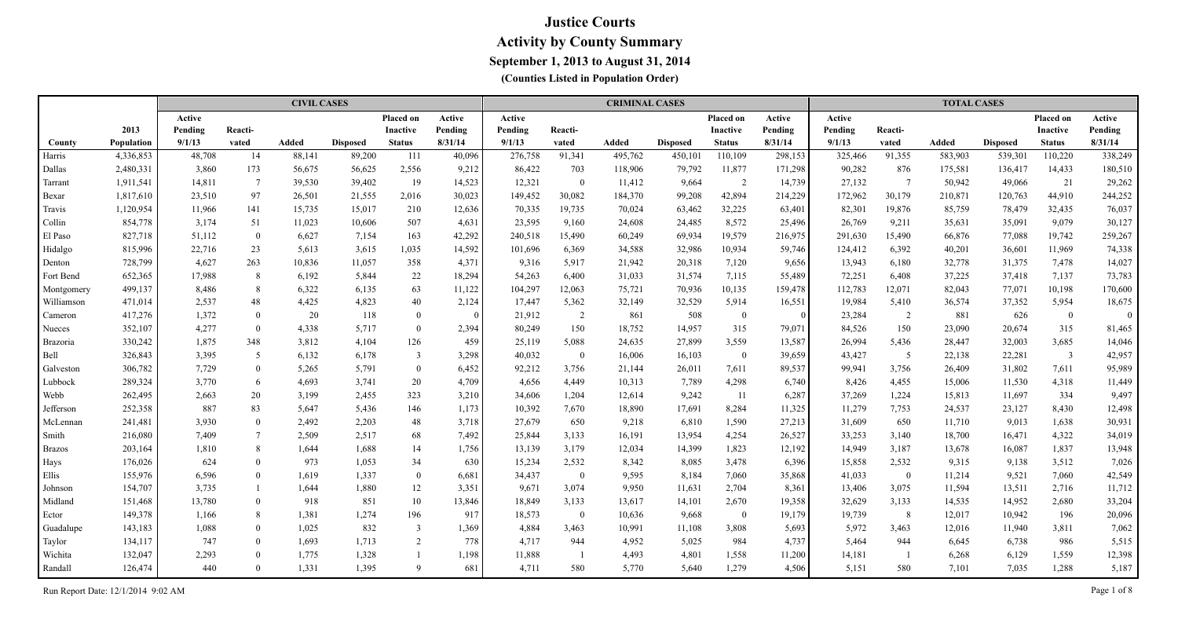|               |            |         |                 | <b>CIVIL CASES</b> |                 |                  |                         |         |              | <b>CRIMINAL CASES</b> |                 |               |          |         |                 | <b>TOTAL CASES</b> |                 |                 |          |
|---------------|------------|---------|-----------------|--------------------|-----------------|------------------|-------------------------|---------|--------------|-----------------------|-----------------|---------------|----------|---------|-----------------|--------------------|-----------------|-----------------|----------|
|               |            | Active  |                 |                    |                 | <b>Placed on</b> | Active                  | Active  |              |                       |                 | Placed on     | Active   | Active  |                 |                    |                 | Placed on       | Active   |
|               | 2013       | Pending | Reacti-         |                    |                 | Inactive         | Pending                 | Pending | Reacti-      |                       |                 | Inactive      | Pending  | Pending | Reacti-         |                    |                 | <b>Inactive</b> | Pending  |
| County        | Population | 9/1/13  | vated           | <b>Added</b>       | <b>Disposed</b> | <b>Status</b>    | 8/31/14                 | 9/1/13  | vated        | <b>Added</b>          | <b>Disposed</b> | <b>Status</b> | 8/31/14  | 9/1/13  | vated           | Added              | <b>Disposed</b> | <b>Status</b>   | 8/31/14  |
| Harris        | 4,336,853  | 48,708  | 14              | 88,141             | 89,200          | 111              | 40,096                  | 276,758 | 91,341       | 495,762               | 450,101         | 110,109       | 298,153  | 325,466 | 91,355          | 583,903            | 539,301         | 110,220         | 338,249  |
| Dallas        | 2,480,331  | 3,860   | 173             | 56,675             | 56,625          | 2,556            | 9,212                   | 86,422  | 703          | 118,906               | 79,792          | 11,877        | 171,298  | 90,282  | 876             | 175,581            | 136,417         | 14,433          | 180,510  |
| Tarrant       | 1,911,541  | 14,811  | $7\phantom{.0}$ | 39,530             | 39,402          | 19               | 14,523                  | 12,321  | $\mathbf{0}$ | 11,412                | 9,664           | 2             | 14,739   | 27,132  | $7\phantom{.0}$ | 50,942             | 49,066          | 21              | 29,262   |
| Bexar         | 1,817,610  | 23,510  | 97              | 26,501             | 21,555          | 2,016            | 30,023                  | 149,452 | 30,082       | 184,370               | 99,208          | 42,894        | 214,229  | 172,962 | 30,179          | 210,871            | 120,763         | 44,910          | 244,252  |
| Travis        | 1,120,954  | 11,966  | 141             | 15,735             | 15,017          | 210              | 12,636                  | 70,335  | 19,735       | 70,024                | 63,462          | 32,225        | 63,401   | 82,301  | 19,876          | 85,759             | 78,479          | 32,435          | 76,037   |
| Collin        | 854,778    | 3,174   | 51              | 11,023             | 10,606          | 507              | 4,631                   | 23,595  | 9,160        | 24,608                | 24,485          | 8,572         | 25,496   | 26,769  | 9,211           | 35,631             | 35,091          | 9,079           | 30,127   |
| El Paso       | 827,718    | 51,112  | $\overline{0}$  | 6,627              | 7,154           | 163              | 42,292                  | 240,518 | 15,490       | 60,249                | 69,934          | 19,579        | 216,975  | 291,630 | 15,490          | 66,876             | 77,088          | 19,742          | 259,267  |
| Hidalgo       | 815,996    | 22,716  | 23              | 5,613              | 3,615           | 1,035            | 14,592                  | 101,696 | 6,369        | 34,588                | 32,986          | 10,934        | 59,746   | 124,412 | 6,392           | 40,201             | 36,601          | 11,969          | 74,338   |
| Denton        | 728,799    | 4,627   | 263             | 10,836             | 11,057          | 358              | 4,371                   | 9,316   | 5,917        | 21,942                | 20,318          | 7,120         | 9,656    | 13,943  | 6,180           | 32,778             | 31,375          | 7,478           | 14,027   |
| Fort Bend     | 652,365    | 17,988  | 8               | 6,192              | 5,844           | 22               | 18,294                  | 54,263  | 6,400        | 31,033                | 31,574          | 7,115         | 55,489   | 72,251  | 6,408           | 37,225             | 37,418          | 7,137           | 73,783   |
| Montgomery    | 499,137    | 8,486   | 8               | 6,322              | 6,135           | 63               | 11,122                  | 104,297 | 12,063       | 75,721                | 70,936          | 10,135        | 159,478  | 112,783 | 12,071          | 82,043             | 77,071          | 10,198          | 170,600  |
| Williamson    | 471,014    | 2,537   | 48              | 4,425              | 4,823           | 40               | 2,124                   | 17,447  | 5,362        | 32,149                | 32,529          | 5,914         | 16,551   | 19,984  | 5,410           | 36,574             | 37,352          | 5,954           | 18,675   |
| Cameron       | 417,276    | 1,372   | $\overline{0}$  | 20                 | 118             | $\bf{0}$         | $\overline{\mathbf{0}}$ | 21,912  | 2            | 861                   | 508             | $\bf{0}$      | $\Omega$ | 23,284  | 2               | 881                | 626             | $\bf{0}$        | $\Omega$ |
| Nueces        | 352,107    | 4,277   | $\overline{0}$  | 4,338              | 5,717           | $\theta$         | 2,394                   | 80,249  | 150          | 18,752                | 14,957          | 315           | 79,071   | 84,526  | 150             | 23,090             | 20,674          | 315             | 81,465   |
| Brazoria      | 330,242    | 1,875   | 348             | 3,812              | 4,104           | 126              | 459                     | 25,119  | 5,088        | 24,635                | 27,899          | 3,559         | 13,587   | 26,994  | 5,436           | 28,447             | 32,003          | 3,685           | 14,046   |
| Bell          | 326,843    | 3,395   | 5               | 6,132              | 6,178           | $\overline{3}$   | 3,298                   | 40,032  | $\bf{0}$     | 16,006                | 16,103          | $\bf{0}$      | 39,659   | 43,427  | 5               | 22,138             | 22,281          | $\overline{3}$  | 42,957   |
| Galveston     | 306,782    | 7,729   | $\overline{0}$  | 5,265              | 5,791           | $\overline{0}$   | 6,452                   | 92,212  | 3,756        | 21,144                | 26,011          | 7,611         | 89,537   | 99,941  | 3,756           | 26,409             | 31,802          | 7,611           | 95,989   |
| Lubbock       | 289,324    | 3,770   | 6               | 4,693              | 3,741           | 20               | 4,709                   | 4,656   | 4,449        | 10,313                | 7,789           | 4,298         | 6,740    | 8,426   | 4,455           | 15,006             | 11,530          | 4,318           | 11,449   |
| Webb          | 262,495    | 2,663   | 20              | 3,199              | 2,455           | 323              | 3,210                   | 34,606  | 1,204        | 12,614                | 9,242           | -11           | 6,287    | 37,269  | 1,224           | 15,813             | 11,697          | 334             | 9,497    |
| Jefferson     | 252,358    | 887     | 83              | 5,647              | 5,436           | 146              | 1,173                   | 10,392  | 7,670        | 18,890                | 17,691          | 8,284         | 11,325   | 11,279  | 7,753           | 24,537             | 23,127          | 8,430           | 12,498   |
| McLennan      | 241,481    | 3,930   | $\bf{0}$        | 2,492              | 2,203           | 48               | 3,718                   | 27,679  | 650          | 9,218                 | 6,810           | 1,590         | 27,213   | 31,609  | 650             | 11,710             | 9,013           | 1,638           | 30,931   |
| Smith         | 216,080    | 7,409   | $\overline{7}$  | 2,509              | 2,517           | 68               | 7,492                   | 25,844  | 3,133        | 16,191                | 13,954          | 4,254         | 26,527   | 33,253  | 3,140           | 18,700             | 16,471          | 4,322           | 34,019   |
| <b>Brazos</b> | 203,164    | 1,810   | 8               | 1,644              | 1,688           | 14               | 1,756                   | 13,139  | 3,179        | 12,034                | 14,399          | 1,823         | 12,192   | 14,949  | 3,187           | 13,678             | 16,087          | 1,837           | 13,948   |
| Hays          | 176,026    | 624     | $\overline{0}$  | 973                | 1,053           | 34               | 630                     | 15,234  | 2,532        | 8,342                 | 8,085           | 3,478         | 6,396    | 15,858  | 2,532           | 9,315              | 9,138           | 3,512           | 7,026    |
| Ellis         | 155,976    | 6,596   | $\overline{0}$  | 1,619              | 1,337           | $\bf{0}$         | 6,681                   | 34,437  | $\bf{0}$     | 9,595                 | 8,184           | 7,060         | 35,868   | 41,033  | $\bf{0}$        | 11,214             | 9,521           | 7,060           | 42,549   |
| Johnson       | 154,707    | 3,735   |                 | 1,644              | 1,880           | 12               | 3,351                   | 9,671   | 3,074        | 9,950                 | 11,631          | 2,704         | 8,361    | 13,406  | 3,075           | 11,594             | 13,511          | 2,716           | 11,712   |
| Midland       | 151,468    | 13,780  | $\overline{0}$  | 918                | 851             | 10               | 13,846                  | 18,849  | 3,133        | 13,617                | 14,101          | 2,670         | 19,358   | 32,629  | 3,133           | 14,535             | 14,952          | 2,680           | 33,204   |
| Ector         | 149,378    | 1,166   | 8               | 1,381              | 1,274           | 196              | 917                     | 18,573  | $\mathbf{0}$ | 10,636                | 9,668           | $\bf{0}$      | 19,179   | 19,739  | 8               | 12,017             | 10,942          | 196             | 20,096   |
| Guadalupe     | 143,183    | 1,088   | $\overline{0}$  | 1,025              | 832             | $\overline{3}$   | 1,369                   | 4,884   | 3,463        | 10,991                | 11,108          | 3,808         | 5,693    | 5,972   | 3,463           | 12,016             | 11,940          | 3,811           | 7,062    |
| Taylor        | 134,117    | 747     | $\theta$        | 1,693              | 1,713           | 2                | 778                     | 4,717   | 944          | 4,952                 | 5,025           | 984           | 4,737    | 5,464   | 944             | 6,645              | 6,738           | 986             | 5,515    |
| Wichita       | 132,047    | 2,293   | $\theta$        | 1,775              | 1,328           |                  | 1,198                   | 11,888  |              | 4,493                 | 4,801           | 1,558         | 11,200   | 14,181  | - 1             | 6,268              | 6,129           | 1,559           | 12,398   |
| Randall       | 126,474    | 440     | $\Omega$        | 1,331              | 1,395           | $\mathbf Q$      | 681                     | 4,711   | 580          | 5,770                 | 5,640           | 1,279         | 4,506    | 5,151   | 580             | 7,101              | 7,035           | 1,288           | 5,187    |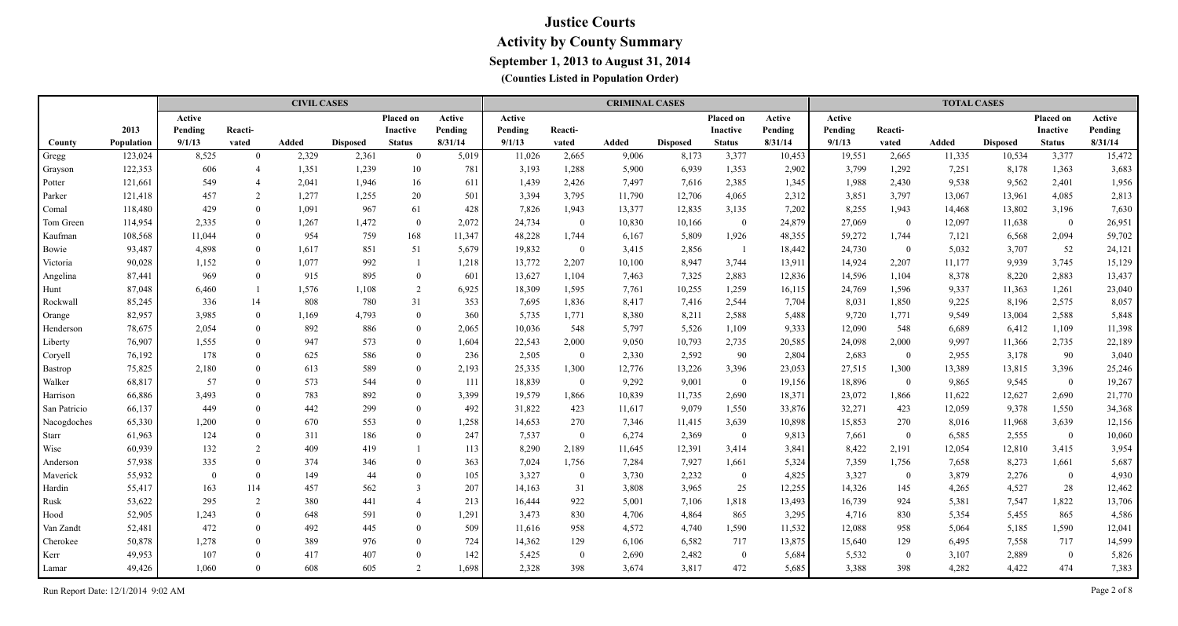|              |            |          |                | <b>CIVIL CASES</b> |                 |                |         |         |                | <b>CRIMINAL CASES</b> |                 |                  |         |         |                | <b>TOTAL CASES</b> |                 |                |         |
|--------------|------------|----------|----------------|--------------------|-----------------|----------------|---------|---------|----------------|-----------------------|-----------------|------------------|---------|---------|----------------|--------------------|-----------------|----------------|---------|
|              |            | Active   |                |                    |                 | Placed on      | Active  | Active  |                |                       |                 | Placed on        | Active  | Active  |                |                    |                 | Placed on      | Active  |
|              | 2013       | Pending  | Reacti-        |                    |                 | Inactive       | Pending | Pending | Reacti-        |                       |                 | <b>Inactive</b>  | Pending | Pending | Reacti-        |                    |                 | Inactive       | Pending |
| County       | Population | 9/1/13   | vated          | <b>Added</b>       | <b>Disposed</b> | <b>Status</b>  | 8/31/14 | 9/1/13  | vated          | Added                 | <b>Disposed</b> | <b>Status</b>    | 8/31/14 | 9/1/13  | vated          | <b>Added</b>       | <b>Disposed</b> | <b>Status</b>  | 8/31/14 |
| Gregg        | 123,024    | 8,525    | $\theta$       | 2,329              | 2,361           | $\theta$       | 5,019   | 11,026  | 2,665          | 9,006                 | 8,173           | 3,377            | 10,453  | 19,551  | 2,665          | 11,335             | 10,534          | 3,377          | 15,472  |
| Grayson      | 122,353    | 606      | $\overline{4}$ | 1,351              | 1,239           | 10             | 781     | 3,193   | 1,288          | 5,900                 | 6,939           | 1,353            | 2,902   | 3,799   | 1,292          | 7,251              | 8,178           | 1,363          | 3,683   |
| Potter       | 121,661    | 549      | $\overline{4}$ | 2,041              | 1,946           | 16             | 611     | 1,439   | 2,426          | 7,497                 | 7,616           | 2,385            | 1,345   | 1,988   | 2,430          | 9,538              | 9,562           | 2,401          | 1,956   |
| Parker       | 121,418    | 457      | $\overline{2}$ | 1,277              | 1,255           | 20             | 501     | 3,394   | 3,795          | 11,790                | 12,706          | 4,065            | 2,312   | 3,851   | 3,797          | 13,067             | 13,961          | 4,085          | 2,813   |
| Comal        | 118,480    | 429      | $\overline{0}$ | 1,091              | 967             | 61             | 428     | 7,826   | 1,943          | 13,377                | 12,835          | 3,135            | 7,202   | 8,255   | 1,943          | 14,468             | 13,802          | 3,196          | 7,630   |
| Tom Green    | 114,954    | 2,335    | $\overline{0}$ | 1,267              | 1,472           | $\overline{0}$ | 2,072   | 24,734  | $\bf{0}$       | 10,830                | 10,166          | $\overline{0}$   | 24,879  | 27,069  | $\overline{0}$ | 12,097             | 11,638          | $\mathbf{0}$   | 26,951  |
| Kaufman      | 108,568    | 11,044   | $\theta$       | 954                | 759             | 168            | 11,347  | 48,228  | 1,744          | 6,167                 | 5,809           | 1,926            | 48,355  | 59,272  | 1,744          | 7,121              | 6,568           | 2,094          | 59,702  |
| Bowie        | 93,487     | 4,898    | $\overline{0}$ | 1,617              | 851             | 51             | 5,679   | 19,832  | $\mathbf{0}$   | 3,415                 | 2,856           | - 1              | 18,442  | 24,730  | $\bf{0}$       | 5,032              | 3,707           | 52             | 24,121  |
| Victoria     | 90,028     | 1,152    | $\overline{0}$ | 1,077              | 992             |                | 1,218   | 13,772  | 2,207          | 10,100                | 8,947           | 3,744            | 13,911  | 14,924  | 2,207          | 11,177             | 9,939           | 3,745          | 15,129  |
| Angelina     | 87,441     | 969      | $\mathbf{0}$   | 915                | 895             | $\overline{0}$ | 601     | 13,627  | 1,104          | 7,463                 | 7,325           | 2,883            | 12,836  | 14,596  | 1,104          | 8,378              | 8,220           | 2,883          | 13,437  |
| Hunt         | 87,048     | 6,460    |                | 1,576              | 1,108           | 2              | 6,925   | 18,309  | 1,595          | 7,761                 | 10,255          | 1,259            | 16,115  | 24,769  | 1,596          | 9,337              | 11,363          | 1,261          | 23,040  |
| Rockwall     | 85,245     | 336      | 14             | 808                | 780             | 31             | 353     | 7,695   | 1,836          | 8,417                 | 7,416           | 2,544            | 7,704   | 8,031   | 1,850          | 9,225              | 8,196           | 2,575          | 8,057   |
| Orange       | 82,957     | 3,985    | $\overline{0}$ | 1,169              | 4,793           | $\overline{0}$ | 360     | 5,735   | 1,771          | 8,380                 | 8,211           | 2,588            | 5,488   | 9,720   | 1,771          | 9,549              | 13,004          | 2,588          | 5,848   |
| Henderson    | 78,675     | 2,054    | $\theta$       | 892                | 886             | $\overline{0}$ | 2,065   | 10,036  | 548            | 5,797                 | 5,526           | 1,109            | 9,333   | 12,090  | 548            | 6,689              | 6,412           | 1,109          | 11,398  |
| Liberty      | 76,907     | 1,555    | $\theta$       | 947                | 573             | $\theta$       | 1,604   | 22,543  | 2,000          | 9,050                 | 10,793          | 2,735            | 20,585  | 24,098  | 2,000          | 9,997              | 11,366          | 2,735          | 22,189  |
| Coryell      | 76,192     | 178      | $\theta$       | 625                | 586             | $\overline{0}$ | 236     | 2,505   | $\overline{0}$ | 2,330                 | 2,592           | 90               | 2,804   | 2,683   | $\bf{0}$       | 2,955              | 3,178           | 90             | 3,040   |
| Bastrop      | 75,825     | 2,180    | $\Omega$       | 613                | 589             | $\overline{0}$ | 2,193   | 25,335  | 1,300          | 12,776                | 13,226          | 3,396            | 23,053  | 27,515  | 1,300          | 13,389             | 13,815          | 3,396          | 25,246  |
| Walker       | 68,817     | 57       | $\Omega$       | 573                | 544             | $\theta$       | 111     | 18,839  | $\overline{0}$ | 9,292                 | 9,001           | $\mathbf{0}$     | 19,156  | 18,896  | $\overline{0}$ | 9,865              | 9,545           | $\bf{0}$       | 19,267  |
| Harrison     | 66,886     | 3,493    | $\Omega$       | 783                | 892             | $\theta$       | 3,399   | 19,579  | 1,866          | 10,839                | 11,735          | 2,690            | 18,371  | 23,072  | 1,866          | 11,622             | 12,627          | 2,690          | 21,770  |
| San Patricio | 66,137     | 449      | $\Omega$       | 442                | 299             | $\theta$       | 492     | 31,822  | 423            | 11,617                | 9,079           | 1,550            | 33,876  | 32,271  | 423            | 12,059             | 9,378           | 1,550          | 34,368  |
| Nacogdoches  | 65,330     | 1,200    | $\Omega$       | 670                | 553             | $\theta$       | 1,258   | 14,653  | 270            | 7,346                 | 11,415          | 3,639            | 10,898  | 15,853  | 270            | 8,016              | 11,968          | 3,639          | 12,156  |
| Starr        | 61,963     | 124      | $\overline{0}$ | 311                | 186             | $\theta$       | 247     | 7,537   | $\overline{0}$ | 6,274                 | 2,369           | $\overline{0}$   | 9,813   | 7,661   | $\bf{0}$       | 6,585              | 2,555           | $\bf{0}$       | 10,060  |
| Wise         | 60,939     | 132      | 2              | 409                | 419             |                | 113     | 8,290   | 2,189          | 11,645                | 12,391          | 3,414            | 3,841   | 8,422   | 2,191          | 12,054             | 12,810          | 3,415          | 3,954   |
| Anderson     | 57,938     | 335      | $\Omega$       | 374                | 346             | $\Omega$       | 363     | 7,024   | 1,756          | 7,284                 | 7,927           | 1,661            | 5,324   | 7,359   | 1,756          | 7,658              | 8,273           | 1,661          | 5,687   |
| Maverick     | 55,932     | $\Omega$ | $\theta$       | 149                | 44              | $\Omega$       | 105     | 3,327   | $\overline{0}$ | 3,730                 | 2,232           | $\boldsymbol{0}$ | 4,825   | 3,327   | $\bf{0}$       | 3,879              | 2,276           | $\bf{0}$       | 4,930   |
| Hardin       | 55,417     | 163      | 114            | 457                | 562             | $\overline{3}$ | 207     | 14,163  | 31             | 3,808                 | 3,965           | 25               | 12,255  | 14,326  | 145            | 4,265              | 4,527           | 28             | 12,462  |
| Rusk         | 53,622     | 295      | 2              | 380                | 441             |                | 213     | 16,444  | 922            | 5,001                 | 7,106           | 1,818            | 13,493  | 16,739  | 924            | 5,381              | 7,547           | 1,822          | 13,706  |
| Hood         | 52,905     | 1,243    | $\theta$       | 648                | 591             | $\theta$       | 1,291   | 3,473   | 830            | 4,706                 | 4,864           | 865              | 3,295   | 4,716   | 830            | 5,354              | 5,455           | 865            | 4,586   |
| Van Zandt    | 52,481     | 472      | $\Omega$       | 492                | 445             | $\Omega$       | 509     | 11,616  | 958            | 4,572                 | 4,740           | 1,590            | 11,532  | 12,088  | 958            | 5,064              | 5,185           | 1,590          | 12,041  |
| Cherokee     | 50,878     | 1,278    | $\Omega$       | 389                | 976             | $\theta$       | 724     | 14,362  | 129            | 6,106                 | 6,582           | 717              | 13,875  | 15,640  | 129            | 6,495              | 7,558           | 717            | 14,599  |
| Kerr         | 49,953     | 107      | $\Omega$       | 417                | 407             | $\Omega$       | 142     | 5,425   | $\overline{0}$ | 2,690                 | 2,482           | $\mathbf{0}$     | 5,684   | 5,532   | $\overline{0}$ | 3,107              | 2,889           | $\overline{0}$ | 5,826   |
| Lamar        | 49,426     | 1,060    | $\Omega$       | 608                | 605             |                | 1,698   | 2,328   | 398            | 3,674                 | 3,817           | 472              | 5,685   | 3,388   | 398            | 4,282              | 4,422           | 474            | 7,383   |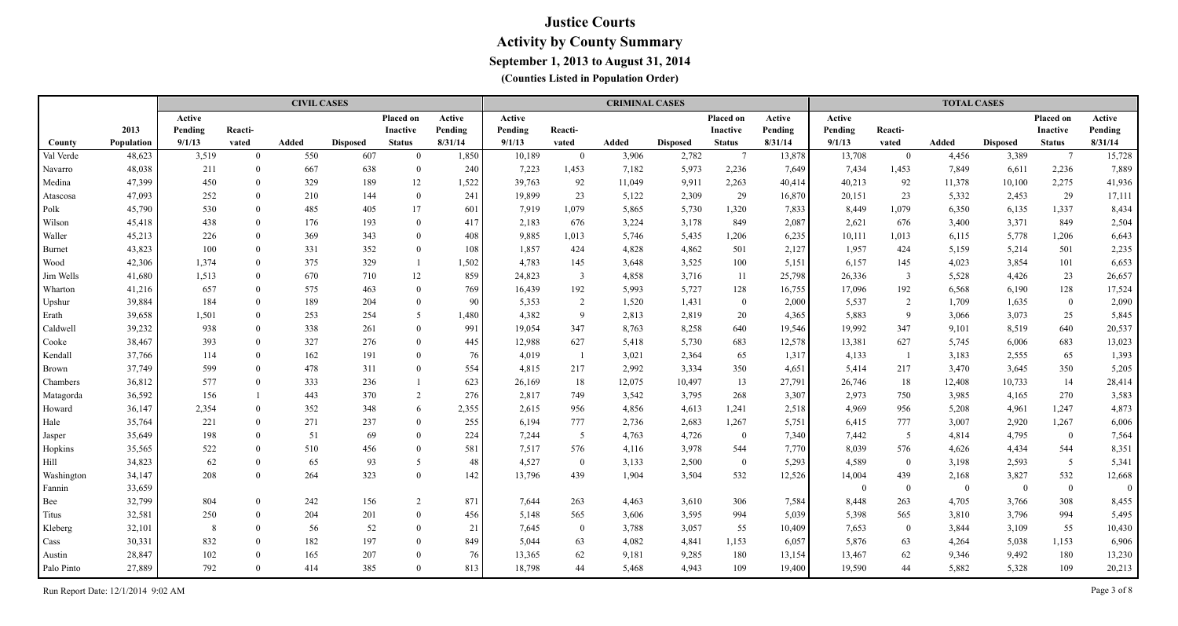|                   |            |         |                | <b>CIVIL CASES</b> |                 |                |         |         |                | <b>CRIMINAL CASES</b> |                 |                 |         |                |                | <b>TOTAL CASES</b> |                 |                 |              |
|-------------------|------------|---------|----------------|--------------------|-----------------|----------------|---------|---------|----------------|-----------------------|-----------------|-----------------|---------|----------------|----------------|--------------------|-----------------|-----------------|--------------|
|                   |            | Active  |                |                    |                 | Placed on      | Active  | Active  |                |                       |                 | Placed on       | Active  | Active         |                |                    |                 | Placed on       | Active       |
|                   | 2013       | Pending | Reacti-        |                    |                 | Inactive       | Pending | Pending | Reacti-        |                       |                 | <b>Inactive</b> | Pending | Pending        | Reacti-        |                    |                 | Inactive        | Pending      |
| County            | Population | 9/1/13  | vated          | Added              | <b>Disposed</b> | <b>Status</b>  | 8/31/14 | 9/1/13  | vated          | Added                 | <b>Disposed</b> | <b>Status</b>   | 8/31/14 | 9/1/13         | vated          | Added              | <b>Disposed</b> | <b>Status</b>   | 8/31/14      |
| Val Verde         | 48,623     | 3,519   | $\mathbf{0}$   | 550                | 607             | $\Omega$       | 1,850   | 10,189  | $\mathbf{0}$   | 3,906                 | 2,782           | $7\phantom{.0}$ | 13,878  | 13,708         | $\bf{0}$       | 4,456              | 3,389           | $7\phantom{.0}$ | 15,728       |
| Navarro           | 48,038     | 211     | $\overline{0}$ | 667                | 638             | $\bf{0}$       | 240     | 7,223   | 1,453          | 7,182                 | 5,973           | 2,236           | 7,649   | 7,434          | 1,453          | 7,849              | 6,611           | 2,236           | 7,889        |
| Medina            | 47,399     | 450     | $\Omega$       | 329                | 189             | 12             | 1,522   | 39,763  | 92             | 11,049                | 9,911           | 2,263           | 40,414  | 40,213         | 92             | 11,378             | 10,100          | 2,275           | 41,936       |
| Atascosa          | 47,093     | 252     | $\overline{0}$ | 210                | 144             | $\overline{0}$ | 241     | 19,899  | 23             | 5,122                 | 2,309           | 29              | 16,870  | 20,151         | 23             | 5,332              | 2,453           | 29              | 17,111       |
| Polk              | 45,790     | 530     | $\Omega$       | 485                | 405             | 17             | 601     | 7,919   | 1,079          | 5,865                 | 5,730           | 1,320           | 7,833   | 8,449          | 1,079          | 6,350              | 6,135           | 1,337           | 8,434        |
| Wilson            | 45,418     | 438     | $\Omega$       | 176                | 193             | $\mathbf{0}$   | 417     | 2,183   | 676            | 3,224                 | 3,178           | 849             | 2,087   | 2,621          | 676            | 3,400              | 3,371           | 849             | 2,504        |
| Waller            | 45,213     | 226     | $\Omega$       | 369                | 343             | $\theta$       | 408     | 9,885   | 1,013          | 5,746                 | 5,435           | 1,206           | 6,235   | 10,111         | 1,013          | 6,115              | 5,778           | 1,206           | 6,643        |
| Burnet            | 43,823     | 100     | $\theta$       | 331                | 352             | $\theta$       | 108     | 1,857   | 424            | 4,828                 | 4,862           | 501             | 2,127   | 1,957          | 424            | 5,159              | 5,214           | 501             | 2,235        |
| Wood              | 42,306     | 1,374   | $\theta$       | 375                | 329             |                | 1,502   | 4,783   | 145            | 3,648                 | 3,525           | 100             | 5,151   | 6,157          | 145            | 4,023              | 3,854           | 101             | 6,653        |
| Jim Wells         | 41,680     | 1,513   | $\theta$       | 670                | 710             | 12             | 859     | 24,823  | $\mathfrak{Z}$ | 4,858                 | 3,716           | 11              | 25,798  | 26,336         | $\overline{3}$ | 5,528              | 4,426           | 23              | 26,657       |
| Wharton           | 41,216     | 657     | $\mathbf{0}$   | 575                | 463             | $\theta$       | 769     | 16,439  | 192            | 5,993                 | 5,727           | 128             | 16,755  | 17,096         | 192            | 6,568              | 6,190           | 128             | 17,524       |
| Upshur            | 39,884     | 184     | $\Omega$       | 189                | 204             | $\bf{0}$       | 90      | 5,353   | $\overline{2}$ | 1,520                 | 1,431           | $\overline{0}$  | 2,000   | 5,537          | 2              | 1,709              | 1,635           | $\bf{0}$        | 2,090        |
| Erath             | 39,658     | 1,501   | $\overline{0}$ | 253                | 254             | 5              | 1,480   | 4,382   | 9              | 2,813                 | 2,819           | 20              | 4,365   | 5,883          | 9              | 3,066              | 3,073           | 25              | 5,845        |
| Caldwell          | 39,232     | 938     | $\theta$       | 338                | 261             | $\theta$       | 991     | 19,054  | 347            | 8,763                 | 8,258           | 640             | 19,546  | 19,992         | 347            | 9,101              | 8,519           | 640             | 20,537       |
| Cooke             | 38,467     | 393     | $\theta$       | 327                | 276             | $\theta$       | 445     | 12,988  | 627            | 5,418                 | 5,730           | 683             | 12,578  | 13,381         | 627            | 5,745              | 6,006           | 683             | 13,023       |
| Kendall           | 37,766     | 114     | $\theta$       | 162                | 191             | $\theta$       | 76      | 4,019   | $\overline{1}$ | 3,021                 | 2,364           | 65              | 1,317   | 4,133          | -1             | 3,183              | 2,555           | 65              | 1,393        |
| Brown             | 37,749     | 599     | $\Omega$       | 478                | 311             | $\theta$       | 554     | 4,815   | 217            | 2,992                 | 3,334           | 350             | 4,651   | 5,414          | 217            | 3,470              | 3,645           | 350             | 5,205        |
| Chambers          | 36,812     | 577     | $\Omega$       | 333                | 236             |                | 623     | 26,169  | 18             | 12,075                | 10,497          | 13              | 27,791  | 26,746         | 18             | 12,408             | 10,733          | 14              | 28,414       |
| Matagorda         | 36,592     | 156     |                | 443                | 370             | 2              | 276     | 2,817   | 749            | 3,542                 | 3,795           | 268             | 3,307   | 2,973          | 750            | 3,985              | 4,165           | 270             | 3,583        |
| Howard            | 36,147     | 2,354   | $\theta$       | 352                | 348             | 6              | 2,355   | 2,615   | 956            | 4,856                 | 4,613           | 1,241           | 2,518   | 4,969          | 956            | 5,208              | 4,961           | 1,247           | 4,873        |
| Hale              | 35,764     | 221     | $\Omega$       | 271                | 237             | $\theta$       | 255     | 6,194   | 777            | 2,736                 | 2,683           | 1,267           | 5,751   | 6,415          | 777            | 3,007              | 2,920           | 1,267           | 6,006        |
| Jasper            | 35,649     | 198     | $\Omega$       | 51                 | 69              | $\theta$       | 224     | 7,244   | 5 <sub>o</sub> | 4,763                 | 4,726           | $\overline{0}$  | 7,340   | 7,442          | $\overline{5}$ | 4,814              | 4,795           | $\bf{0}$        | 7,564        |
| Hopkins           | 35,565     | 522     | $\Omega$       | 510                | 456             | $\theta$       | 581     | 7,517   | 576            | 4,116                 | 3,978           | 544             | 7,770   | 8,039          | 576            | 4,626              | 4,434           | 544             | 8,351        |
| Hill              | 34,823     | 62      | $\Omega$       | 65                 | 93              | 5              | 48      | 4,527   | $\bf{0}$       | 3,133                 | 2,500           | $\overline{0}$  | 5,293   | 4,589          | $\overline{0}$ | 3,198              | 2,593           | $5\overline{)}$ | 5,341        |
| <b>Washington</b> | 34,147     | 208     | $\theta$       | 264                | 323             | $\Omega$       | 142     | 13,796  | 439            | 1,904                 | 3,504           | 532             | 12,526  | 14,004         | 439            | 2,168              | 3,827           | 532             | 12,668       |
| Fannin            | 33,659     |         |                |                    |                 |                |         |         |                |                       |                 |                 |         | $\overline{0}$ | $\overline{0}$ | $\overline{0}$     | $\overline{0}$  | $\bf{0}$        | $\mathbf{0}$ |
| Bee               | 32,799     | 804     | $\theta$       | 242                | 156             | 2              | 871     | 7,644   | 263            | 4,463                 | 3,610           | 306             | 7,584   | 8,448          | 263            | 4,705              | 3,766           | 308             | 8,455        |
| Titus             | 32,581     | 250     | $\Omega$       | 204                | 201             | $\overline{0}$ | 456     | 5,148   | 565            | 3,606                 | 3,595           | 994             | 5,039   | 5,398          | 565            | 3,810              | 3,796           | 994             | 5,495        |
| Kleberg           | 32,101     | 8       | $\Omega$       | 56                 | 52              | $\theta$       | 21      | 7,645   | $\mathbf{0}$   | 3,788                 | 3,057           | 55              | 10,409  | 7,653          | $\overline{0}$ | 3,844              | 3,109           | 55              | 10,430       |
| Cass              | 30,331     | 832     | $\Omega$       | 182                | 197             | $\theta$       | 849     | 5,044   | 63             | 4,082                 | 4,841           | 1,153           | 6,057   | 5,876          | 63             | 4,264              | 5,038           | 1,153           | 6,906        |
| Austin            | 28,847     | 102     | $\Omega$       | 165                | 207             | $\theta$       | 76      | 13,365  | 62             | 9,181                 | 9,285           | 180             | 13,154  | 13,467         | 62             | 9,346              | 9,492           | 180             | 13,230       |
| Palo Pinto        | 27,889     | 792     | $\Omega$       | 414                | 385             | $\Omega$       | 813     | 18,798  | 44             | 5,468                 | 4,943           | 109             | 19,400  | 19,590         | 44             | 5,882              | 5,328           | 109             | 20,213       |

Run Report Date: 12/1/2014 9:02 AM Page 3 of 8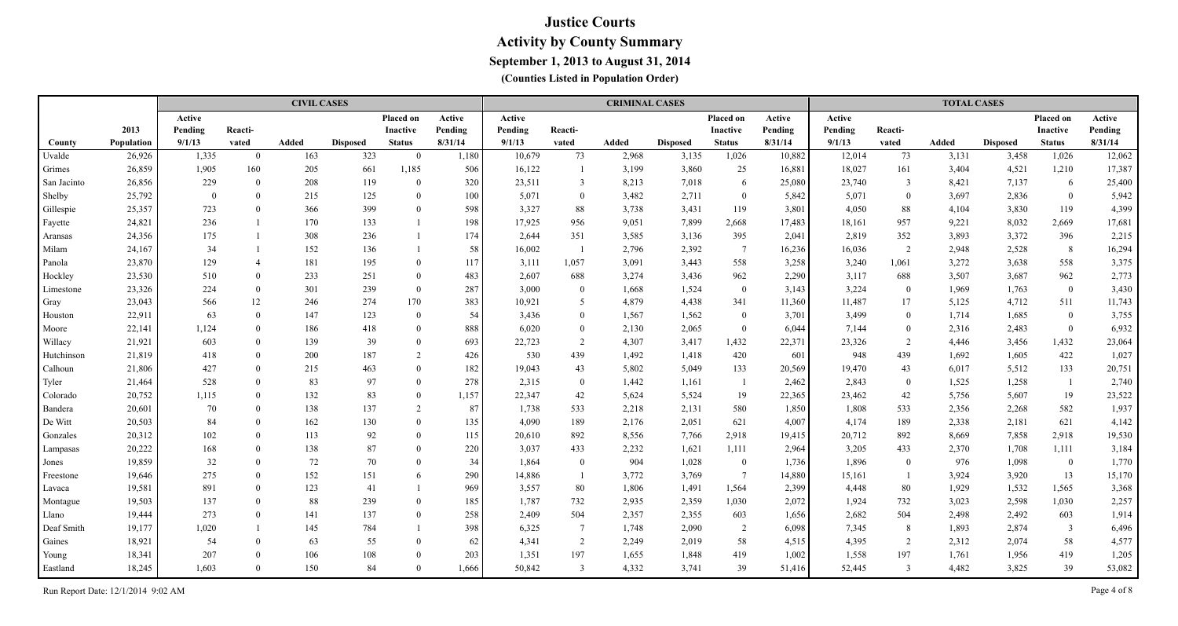|             |                   |          |                | <b>CIVIL CASES</b> |                 |                 |         |         |                 | <b>CRIMINAL CASES</b> |                 |                 |         |         |                | <b>TOTAL CASES</b> |                 |                |         |
|-------------|-------------------|----------|----------------|--------------------|-----------------|-----------------|---------|---------|-----------------|-----------------------|-----------------|-----------------|---------|---------|----------------|--------------------|-----------------|----------------|---------|
|             |                   | Active   |                |                    |                 | Placed on       | Active  | Active  |                 |                       |                 | Placed on       | Active  | Active  |                |                    |                 | Placed on      | Active  |
|             | 2013              | Pending  | Reacti-        |                    |                 | <b>Inactive</b> | Pending | Pending | Reacti-         |                       |                 | Inactive        | Pending | Pending | Reacti-        |                    |                 | Inactive       | Pending |
| County      | <b>Population</b> | 9/1/13   | vated          | Added              | <b>Disposed</b> | <b>Status</b>   | 8/31/14 | 9/1/13  | vated           | Added                 | <b>Disposed</b> | <b>Status</b>   | 8/31/14 | 9/1/13  | vated          | <b>Added</b>       | <b>Disposed</b> | <b>Status</b>  | 8/31/14 |
| Uvalde      | 26,926            | 1,335    | $\overline{0}$ | 163                | 323             | $\theta$        | 1,180   | 10,679  | 73              | 2,968                 | 3,135           | 1,026           | 10,882  | 12,014  | 73             | 3,131              | 3,458           | 1,026          | 12,062  |
| Grimes      | 26,859            | 1,905    | 160            | 205                | 661             | 1,185           | 506     | 16,122  |                 | 3,199                 | 3,860           | 25              | 16,881  | 18,027  | 161            | 3,404              | 4,521           | 1,210          | 17,387  |
| San Jacinto | 26,856            | 229      | $\Omega$       | 208                | 119             | $\Omega$        | 320     | 23,511  | $\mathbf{3}$    | 8,213                 | 7,018           | 6               | 25,080  | 23,740  | $\overline{3}$ | 8,421              | 7,137           | 6              | 25,400  |
| Shelby      | 25,792            | $\theta$ | $\Omega$       | 215                | 125             | $\theta$        | 100     | 5,071   | $\overline{0}$  | 3,482                 | 2,711           | $\overline{0}$  | 5,842   | 5,071   | $\overline{0}$ | 3,697              | 2,836           | $\bf{0}$       | 5,942   |
| Gillespie   | 25,357            | 723      | $\theta$       | 366                | 399             | $\theta$        | 598     | 3,327   | 88              | 3,738                 | 3,431           | 119             | 3,801   | 4,050   | 88             | 4,104              | 3,830           | 119            | 4,399   |
| Fayette     | 24,821            | 236      |                | 170                | 133             |                 | 198     | 17,925  | 956             | 9,051                 | 7,899           | 2,668           | 17,483  | 18,161  | 957            | 9,221              | 8,032           | 2,669          | 17,681  |
| Aransas     | 24,356            | 175      |                | 308                | 236             |                 | 174     | 2,644   | 351             | 3,585                 | 3,136           | 395             | 2,041   | 2,819   | 352            | 3,893              | 3,372           | 396            | 2,215   |
| Milam       | 24,167            | 34       |                | 152                | 136             |                 | 58      | 16,002  |                 | 2,796                 | 2,392           | $\overline{7}$  | 16,236  | 16,036  | 2              | 2,948              | 2,528           | 8              | 16,294  |
| Panola      | 23,870            | 129      | $\overline{4}$ | 181                | 195             | $\Omega$        | 117     | 3,111   | 1,057           | 3,091                 | 3,443           | 558             | 3,258   | 3,240   | 1,061          | 3,272              | 3,638           | 558            | 3,375   |
| Hockley     | 23,530            | 510      | $\theta$       | 233                | 251             | $\theta$        | 483     | 2,607   | 688             | 3,274                 | 3,436           | 962             | 2,290   | 3,117   | 688            | 3,507              | 3,687           | 962            | 2,773   |
| Limestone   | 23,326            | 224      | $\theta$       | 301                | 239             | $\theta$        | 287     | 3,000   | $\mathbf{0}$    | 1,668                 | 1,524           | $\overline{0}$  | 3,143   | 3,224   | $\overline{0}$ | 1,969              | 1,763           | $\bf{0}$       | 3,430   |
| Gray        | 23,043            | 566      | 12             | 246                | 274             | 170             | 383     | 10,921  | 5               | 4,879                 | 4,438           | 341             | 11,360  | 11,487  | 17             | 5,125              | 4,712           | 511            | 11,743  |
| Houston     | 22,911            | 63       | $\Omega$       | 147                | 123             | $\theta$        | 54      | 3,436   | $\overline{0}$  | 1,567                 | 1,562           | $\mathbf{0}$    | 3,701   | 3,499   | $\bf{0}$       | 1,714              | 1,685           | $\bf{0}$       | 3,755   |
| Moore       | 22,141            | 1,124    | $\theta$       | 186                | 418             | $\mathbf{0}$    | 888     | 6,020   | $\overline{0}$  | 2,130                 | 2,065           | $\mathbf{0}$    | 6,044   | 7,144   | $\overline{0}$ | 2,316              | 2,483           | $\bf{0}$       | 6,932   |
| Willacy     | 21,921            | 603      | $\theta$       | 139                | 39              | $\mathbf{0}$    | 693     | 22,723  | 2               | 4,307                 | 3,417           | 1,432           | 22,371  | 23,326  | 2              | 4,446              | 3,456           | 1,432          | 23,064  |
| Hutchinson  | 21,819            | 418      | $\theta$       | 200                | 187             | 2               | 426     | 530     | 439             | 1,492                 | 1,418           | 420             | 601     | 948     | 439            | 1,692              | 1,605           | 422            | 1,027   |
| Calhoun     | 21,806            | 427      | $\theta$       | 215                | 463             | $\Omega$        | 182     | 19,043  | 43              | 5,802                 | 5,049           | 133             | 20,569  | 19,470  | 43             | 6,017              | 5,512           | 133            | 20,751  |
| Tyler       | 21,464            | 528      | $\Omega$       | 83                 | 97              | $\theta$        | 278     | 2,315   | $\overline{0}$  | 1,442                 | 1,161           | -1              | 2,462   | 2,843   | $\bf{0}$       | 1,525              | 1,258           | -1             | 2,740   |
| Colorado    | 20,752            | 1,115    | $\Omega$       | 132                | 83              | $\mathbf{0}$    | 1,157   | 22,347  | 42              | 5,624                 | 5,524           | 19              | 22,365  | 23,462  | 42             | 5,756              | 5,607           | 19             | 23,522  |
| Bandera     | 20,601            | 70       | $\Omega$       | 138                | 137             | 2               | 87      | 1,738   | 533             | 2,218                 | 2,131           | 580             | 1,850   | 1,808   | 533            | 2,356              | 2,268           | 582            | 1,937   |
| De Witt     | 20,503            | 84       | $\theta$       | 162                | 130             | $\theta$        | 135     | 4,090   | 189             | 2,176                 | 2,051           | 621             | 4,007   | 4,174   | 189            | 2,338              | 2,181           | 621            | 4,142   |
| Gonzales    | 20,312            | 102      | $\Omega$       | 113                | 92              | $\theta$        | 115     | 20,610  | 892             | 8,556                 | 7,766           | 2,918           | 19,415  | 20,712  | 892            | 8,669              | 7,858           | 2,918          | 19,530  |
| Lampasas    | 20,222            | 168      | $\theta$       | 138                | 87              | $\Omega$        | 220     | 3,037   | 433             | 2,232                 | 1,621           | 1,111           | 2,964   | 3,205   | 433            | 2,370              | 1,708           | 1,111          | 3,184   |
| Jones       | 19,859            | 32       | $\Omega$       | 72                 | 70              | $\Omega$        | 34      | 1,864   | $\theta$        | 904                   | 1,028           | $\overline{0}$  | 1,736   | 1,896   | $\overline{0}$ | 976                | 1,098           | $\overline{0}$ | 1,770   |
| Freestone   | 19,646            | 275      | $\Omega$       | 152                | 151             | 6               | 290     | 14,886  |                 | 3,772                 | 3,769           | $7\phantom{.0}$ | 14,880  | 15,161  | $\overline{1}$ | 3,924              | 3,920           | 13             | 15,170  |
| Lavaca      | 19,581            | 891      | $\theta$       | 123                | 41              |                 | 969     | 3,557   | 80              | 1,806                 | 1,491           | 1,564           | 2,399   | 4,448   | 80             | 1,929              | 1,532           | 1,565          | 3,368   |
| Montague    | 19,503            | 137      | $\Omega$       | 88                 | 239             | $\theta$        | 185     | 1,787   | 732             | 2,935                 | 2,359           | 1,030           | 2,072   | 1,924   | 732            | 3,023              | 2,598           | 1,030          | 2,257   |
| Llano       | 19,444            | 273      | $\theta$       | 141                | 137             | $\theta$        | 258     | 2,409   | 504             | 2,357                 | 2,355           | 603             | 1,656   | 2,682   | 504            | 2,498              | 2,492           | 603            | 1,914   |
| Deaf Smith  | 19,177            | 1,020    |                | 145                | 784             |                 | 398     | 6,325   | $7\phantom{.0}$ | 1,748                 | 2,090           | $\overline{2}$  | 6,098   | 7,345   | 8              | 1,893              | 2,874           | $\overline{3}$ | 6,496   |
| Gaines      | 18,921            | 54       | $\Omega$       | 63                 | 55              | $\theta$        | 62      | 4,341   | 2               | 2,249                 | 2,019           | 58              | 4,515   | 4,395   | 2              | 2,312              | 2,074           | 58             | 4,577   |
| Young       | 18,341            | 207      | $\Omega$       | 106                | 108             | $\Omega$        | 203     | 1,351   | 197             | 1,655                 | 1,848           | 419             | 1,002   | 1,558   | 197            | 1,761              | 1,956           | 419            | 1,205   |
| Eastland    | 18,245            | 1,603    | $\Omega$       | 150                | 84              | $\Omega$        | 1,666   | 50,842  | $\overline{3}$  | 4,332                 | 3,741           | 39              | 51,416  | 52,445  | 3              | 4,482              | 3,825           | 39             | 53,082  |

Run Report Date: 12/1/2014 9:02 AM Page 4 of 8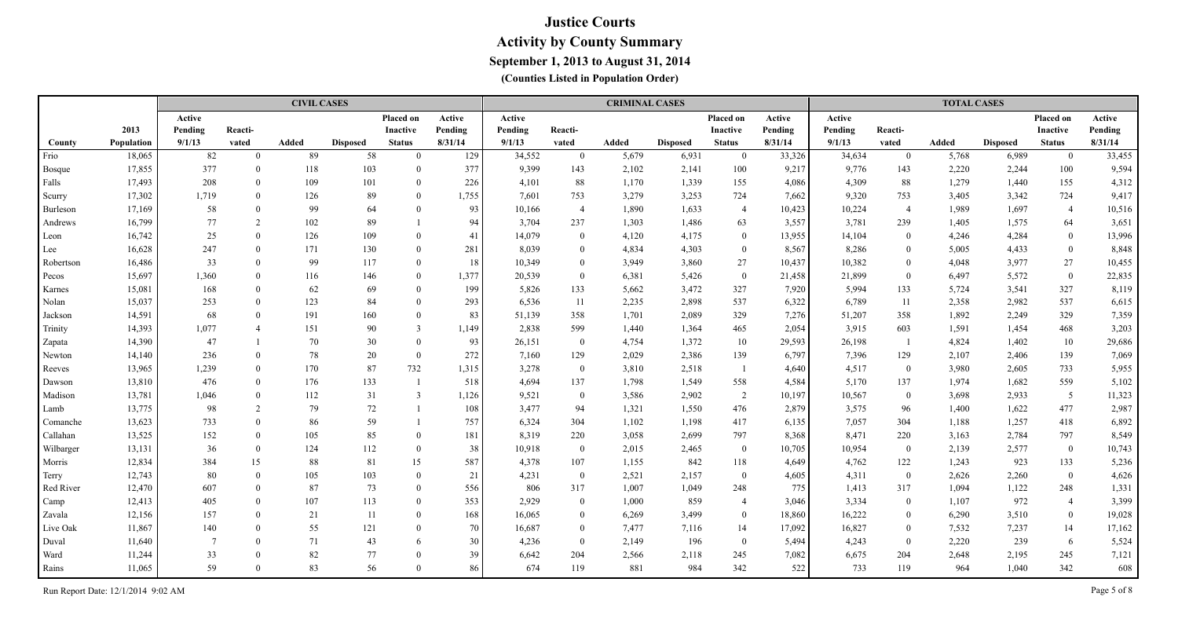|           |            |                 |                | <b>CIVIL CASES</b> |                 |                 |         |         |                | <b>CRIMINAL CASES</b> |                 |                 |         |         |                | <b>TOTAL CASES</b> |                 |                  |         |
|-----------|------------|-----------------|----------------|--------------------|-----------------|-----------------|---------|---------|----------------|-----------------------|-----------------|-----------------|---------|---------|----------------|--------------------|-----------------|------------------|---------|
|           |            | Active          |                |                    |                 | Placed on       | Active  | Active  |                |                       |                 | Placed on       | Active  | Active  |                |                    |                 | <b>Placed on</b> | Active  |
|           | 2013       | Pending         | Reacti-        |                    |                 | <b>Inactive</b> | Pending | Pending | Reacti-        |                       |                 | <b>Inactive</b> | Pending | Pending | Reacti-        |                    |                 | <b>Inactive</b>  | Pending |
| County    | Population | 9/1/13          | vated          | Added              | <b>Disposed</b> | <b>Status</b>   | 8/31/14 | 9/1/13  | vated          | Added                 | <b>Disposed</b> | <b>Status</b>   | 8/31/14 | 9/1/13  | vated          | Added              | <b>Disposed</b> | <b>Status</b>    | 8/31/14 |
| Frio      | 18,065     | 82              | $\Omega$       | 89                 | 58              | $\Omega$        | 129     | 34,552  | $\mathbf{0}$   | 5,679                 | 6,931           | $\overline{0}$  | 33,326  | 34,634  | $\overline{0}$ | 5,768              | 6,989           | $\bf{0}$         | 33,455  |
| Bosque    | 17,855     | 377             | $\theta$       | 118                | 103             | $\Omega$        | 377     | 9,399   | 143            | 2,102                 | 2,141           | 100             | 9,217   | 9,776   | 143            | 2,220              | 2,244           | 100              | 9,594   |
| Falls     | 17,493     | 208             | $\theta$       | 109                | 101             | $\Omega$        | 226     | 4,101   | 88             | 1,170                 | 1,339           | 155             | 4,086   | 4,309   | 88             | 1,279              | 1,440           | 155              | 4,312   |
| Scurry    | 17,302     | 1,719           | $\mathbf{0}$   | 126                | 89              | $\Omega$        | 1,755   | 7,601   | 753            | 3,279                 | 3,253           | 724             | 7.662   | 9,320   | 753            | 3,405              | 3,342           | 724              | 9,417   |
| Burleson  | 17,169     | 58              | $\mathbf{0}$   | 99                 | 64              | $\Omega$        | 93      | 10,166  | $\overline{4}$ | 1,890                 | 1,633           | $\overline{4}$  | 10,423  | 10,224  | $\overline{4}$ | 1,989              | 1,697           | $\overline{4}$   | 10,516  |
| Andrews   | 16,799     | 77              | 2              | 102                | 89              |                 | 94      | 3,704   | 237            | 1,303                 | 1,486           | 63              | 3,557   | 3,781   | 239            | 1,405              | 1,575           | 64               | 3,651   |
| Leon      | 16,742     | 25              | $\theta$       | 126                | 109             | $\Omega$        | 41      | 14,079  | $\Omega$       | 4,120                 | 4,175           | $\overline{0}$  | 13,955  | 14,104  | $\overline{0}$ | 4,246              | 4,284           | $\overline{0}$   | 13,996  |
| Lee       | 16,628     | 247             | $\theta$       | 171                | 130             | $\theta$        | 281     | 8,039   | $\Omega$       | 4,834                 | 4,303           | $\mathbf{0}$    | 8,567   | 8,286   | $\overline{0}$ | 5,005              | 4,433           | $\overline{0}$   | 8,848   |
| Robertson | 16,486     | 33              | $\theta$       | 99                 | 117             | $\Omega$        | 18      | 10,349  | $\theta$       | 3,949                 | 3,860           | 27              | 10,437  | 10,382  | $\overline{0}$ | 4,048              | 3,977           | 27               | 10,455  |
| Pecos     | 15,697     | 1,360           | $\theta$       | 116                | 146             | $\theta$        | 1,377   | 20,539  | $\mathbf{0}$   | 6,381                 | 5,426           | $\overline{0}$  | 21,458  | 21,899  | $\overline{0}$ | 6,497              | 5,572           | $\overline{0}$   | 22,835  |
| Karnes    | 15,081     | 168             | $\theta$       | 62                 | 69              | $\Omega$        | 199     | 5,826   | 133            | 5,662                 | 3,472           | 327             | 7,920   | 5,994   | 133            | 5,724              | 3,541           | 327              | 8,119   |
| Nolan     | 15,037     | 253             | $\theta$       | 123                | 84              | $\Omega$        | 293     | 6,536   | 11             | 2,235                 | 2,898           | 537             | 6,322   | 6,789   | 11             | 2,358              | 2,982           | 537              | 6,615   |
| Jackson   | 14,591     | 68              | $\Omega$       | 191                | 160             | $\Omega$        | 83      | 51,139  | 358            | 1,701                 | 2,089           | 329             | 7,276   | 51,207  | 358            | 1,892              | 2,249           | 329              | 7,359   |
| Trinity   | 14,393     | 1,077           | $\overline{4}$ | 151                | 90              | 3               | 1,149   | 2,838   | 599            | 1,440                 | 1,364           | 465             | 2,054   | 3,915   | 603            | 1,591              | 1,454           | 468              | 3,203   |
| Zapata    | 14,390     | 47              |                | 70                 | 30              | $\theta$        | 93      | 26,151  | $\overline{0}$ | 4,754                 | 1,372           | 10              | 29,593  | 26,198  | $\overline{1}$ | 4,824              | 1,402           | 10               | 29,686  |
| Newton    | 14,140     | 236             | $\theta$       | 78                 | 20              | $\overline{0}$  | 272     | 7,160   | 129            | 2,029                 | 2,386           | 139             | 6,797   | 7,396   | 129            | 2,107              | 2,406           | 139              | 7,069   |
| Reeves    | 13,965     | 1,239           | $\Omega$       | 170                | 87              | 732             | 1,315   | 3,278   | $\overline{0}$ | 3,810                 | 2,518           |                 | 4,640   | 4,517   | $\mathbf{0}$   | 3,980              | 2,605           | 733              | 5,955   |
| Dawson    | 13,810     | 476             | $\Omega$       | 176                | 133             |                 | 518     | 4,694   | 137            | 1,798                 | 1,549           | 558             | 4,584   | 5,170   | 137            | 1,974              | 1,682           | 559              | 5,102   |
| Madison   | 13,781     | 1,046           | $\Omega$       | 112                | 31              | $\overline{3}$  | 1,126   | 9,521   | $\bf{0}$       | 3,586                 | 2,902           | $\overline{2}$  | 10,197  | 10,567  | $\mathbf{0}$   | 3,698              | 2,933           | $5\overline{)}$  | 11,323  |
| Lamb      | 13,775     | 98              | 2              | 79                 | 72              | $\mathbf{1}$    | 108     | 3,477   | 94             | 1,321                 | 1,550           | 476             | 2,879   | 3,575   | 96             | 1,400              | 1,622           | 477              | 2,987   |
| Comanche  | 13,623     | 733             | $\Omega$       | 86                 | 59              |                 | 757     | 6,324   | 304            | 1,102                 | 1,198           | 417             | 6,135   | 7,057   | 304            | 1,188              | 1,257           | 418              | 6,892   |
| Callahan  | 13,525     | 152             | $\Omega$       | 105                | 85              | $\Omega$        | 181     | 8,319   | 220            | 3,058                 | 2,699           | 797             | 8,368   | 8,471   | 220            | 3,163              | 2,784           | 797              | 8,549   |
| Wilbarger | 13,131     | 36              | $\theta$       | 124                | 112             | $\Omega$        | 38      | 10,918  | $\mathbf{0}$   | 2,015                 | 2,465           | $\bf{0}$        | 10,705  | 10,954  | $\mathbf{0}$   | 2,139              | 2,577           | $\overline{0}$   | 10,743  |
| Morris    | 12,834     | 384             | 15             | 88                 | 81              | 15              | 587     | 4,378   | 107            | 1,155                 | 842             | 118             | 4,649   | 4,762   | 122            | 1,243              | 923             | 133              | 5,236   |
| Terry     | 12,743     | 80              | $\Omega$       | 105                | 103             | $\theta$        | 21      | 4,231   | $\overline{0}$ | 2,521                 | 2,157           | $\bf{0}$        | 4,605   | 4,311   | $\overline{0}$ | 2,626              | 2,260           | $\mathbf{0}$     | 4,626   |
| Red River | 12,470     | 607             | $\Omega$       | 87                 | 73              | $\Omega$        | 556     | 806     | 317            | 1,007                 | 1,049           | 248             | 775     | 1,413   | 317            | 1,094              | 1,122           | 248              | 1,331   |
| Camp      | 12,413     | 405             | $\Omega$       | 107                | 113             | $\Omega$        | 353     | 2,929   | $\theta$       | 1,000                 | 859             | $\overline{4}$  | 3,046   | 3,334   | $\overline{0}$ | 1,107              | 972             | $\overline{4}$   | 3,399   |
| Zavala    | 12,156     | 157             | $\Omega$       | 21                 | 11              | $\Omega$        | 168     | 16,065  | $\theta$       | 6,269                 | 3,499           | $\overline{0}$  | 18,860  | 16,222  | $\overline{0}$ | 6,290              | 3,510           | $\overline{0}$   | 19,028  |
| Live Oak  | 11,867     | 140             | $\Omega$       | 55                 | 121             | $\Omega$        | 70      | 16,687  | $\theta$       | 7,477                 | 7,116           | 14              | 17,092  | 16,827  | $\overline{0}$ | 7,532              | 7,237           | 14               | 17,162  |
| Duval     | 11,640     | $7\phantom{.0}$ | $\Omega$       | 71                 | 43              | 6               | 30      | 4,236   | $\mathbf{0}$   | 2,149                 | 196             | $\bf{0}$        | 5,494   | 4,243   | $\overline{0}$ | 2,220              | 239             | 6                | 5,524   |
| Ward      | 11,244     | 33              | $\Omega$       | 82                 | 77              | $\Omega$        | 39      | 6,642   | 204            | 2,566                 | 2,118           | 245             | 7,082   | 6,675   | 204            | 2,648              | 2,195           | 245              | 7,121   |
| Rains     | 11,065     | 59              | $\Omega$       | 83                 | 56              | $\Omega$        | 86      | 674     | 119            | 881                   | 984             | 342             | 522     | 733     | 119            | 964                | 1,040           | 342              | 608     |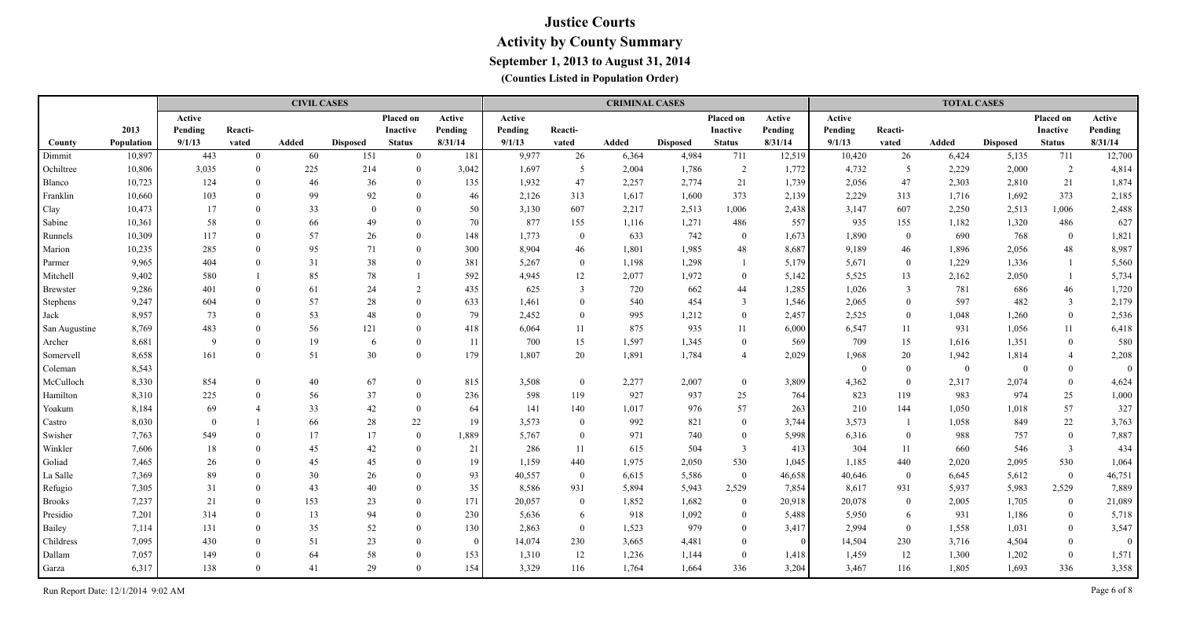|                 |            |              |              | <b>CIVIL CASES</b> |                 |                |                 |         |                | <b>CRIMINAL CASES</b> |                 |                  |                 |          |                | <b>TOTAL CASES</b> |                 |                |              |
|-----------------|------------|--------------|--------------|--------------------|-----------------|----------------|-----------------|---------|----------------|-----------------------|-----------------|------------------|-----------------|----------|----------------|--------------------|-----------------|----------------|--------------|
|                 |            | Active       |              |                    |                 | Placed on      | Active          | Active  |                |                       |                 | Placed on        | Active          | Active   |                |                    |                 | Placed on      | Active       |
|                 | 2013       | Pending      | Reacti-      |                    |                 | Inactive       | Pending         | Pending | Reacti-        |                       |                 | <b>Inactive</b>  | Pending         | Pending  | Reacti-        |                    |                 | Inactive       | Pending      |
| County          | Population | 9/1/13       | vated        | Added              | <b>Disposed</b> | <b>Status</b>  | 8/31/14         | 9/1/13  | vated          | Added                 | <b>Disposed</b> | <b>Status</b>    | 8/31/14         | 9/1/13   | vated          | Added              | <b>Disposed</b> | <b>Status</b>  | 8/31/14      |
| Dimmit          | 10,897     | 443          | $\mathbf{0}$ | 60                 | 151             | $\Omega$       | 181             | 9,977   | 26             | 6,364                 | 4,984           | 711              | 12,519          | 10,420   | 26             | 6,424              | 5,135           | 711            | 12,700       |
| Ochiltree       | 10,806     | 3,035        | $\theta$     | 225                | 214             | $\theta$       | 3,042           | 1,697   | 5              | 2,004                 | 1,786           | 2                | 1,772           | 4,732    | 5              | 2,229              | 2,000           | 2              | 4,814        |
| Blanco          | 10,723     | 124          | $\Omega$     | 46                 | 36              | $\theta$       | 135             | 1,932   | 47             | 2,257                 | 2,774           | 21               | 1,739           | 2,056    | 47             | 2,303              | 2,810           | 21             | 1,874        |
| Franklin        | 10,660     | 103          | $\Omega$     | 99                 | 92              | $\theta$       | 46              | 2,126   | 313            | 1,617                 | 1,600           | 373              | 2,139           | 2,229    | 313            | 1,716              | 1,692           | 373            | 2,185        |
| Clay            | 10,473     | 17           | $\Omega$     | 33                 | $\theta$        | $\theta$       | 50 <sup>°</sup> | 3,130   | 607            | 2,217                 | 2,513           | 1,006            | 2,438           | 3,147    | 607            | 2,250              | 2,513           | 1,006          | 2,488        |
| Sabine          | 10,361     | 58           | $\Omega$     | 66                 | 49              | $\theta$       | 70              | 877     | 155            | 1,116                 | 1,271           | 486              | 557             | 935      | 155            | 1,182              | 1,320           | 486            | 627          |
| Runnels         | 10,309     | 117          | $\Omega$     | 57                 | 26              | $\theta$       | 148             | 1,773   | $\overline{0}$ | 633                   | 742             | $\mathbf{0}$     | 1,673           | 1,890    | $\bf{0}$       | 690                | 768             | $\bf{0}$       | 1,821        |
| Marion          | 10,235     | 285          | $\Omega$     | 95                 | 71              | $\theta$       | 300             | 8,904   | 46             | 1,801                 | 1,985           | 48               | 8,687           | 9,189    | 46             | 1,896              | 2,056           | 48             | 8,987        |
| Parmer          | 9,965      | 404          | $\Omega$     | 31                 | 38              | $\theta$       | 381             | 5,267   | $\overline{0}$ | 1,198                 | 1,298           |                  | 5,179           | 5,671    | $\bf{0}$       | 1,229              | 1,336           | 1              | 5,560        |
| Mitchell        | 9,402      | 580          |              | 85                 | $78\,$          |                | 592             | 4,945   | 12             | 2,077                 | 1,972           | $\mathbf{0}$     | 5,142           | 5,525    | 13             | 2,162              | 2,050           | 1              | 5,734        |
| Brewster        | 9,286      | 401          | $\Omega$     | 61                 | 24              | 2              | 435             | 625     | $\mathfrak{Z}$ | 720                   | 662             | 44               | 1,285           | 1,026    | 3              | 781                | 686             | 46             | 1,720        |
| <b>Stephens</b> | 9,247      | 604          | $\Omega$     | 57                 | 28              | $\Omega$       | 633             | 1,461   | $\overline{0}$ | 540                   | 454             | 3                | 1,546           | 2,065    | $\overline{0}$ | 597                | 482             | $\overline{3}$ | 2,179        |
| Jack            | 8,957      | 73           | $\Omega$     | 53                 | 48              | $\Omega$       | 79              | 2,452   | $\theta$       | 995                   | 1,212           | $\overline{0}$   | 2,457           | 2,525    | $\overline{0}$ | 1,048              | 1,260           | $\bf{0}$       | 2,536        |
| San Augustine   | 8,769      | 483          | $\theta$     | 56                 | 121             | $\theta$       | 418             | 6,064   | 11             | 875                   | 935             | 11               | 6,000           | 6,547    | 11             | 931                | 1,056           | 11             | 6,418        |
| Archer          | 8,681      | $\mathbf{Q}$ | $\Omega$     | 19                 | -6              | $\theta$       | 11              | 700     | 15             | 1,597                 | 1,345           | $\overline{0}$   | 569             | 709      | 15             | 1,616              | 1,351           | $\bf{0}$       | 580          |
| Somervell       | 8,658      | 161          | $\Omega$     | 51                 | 30              | $\theta$       | 179             | 1,807   | 20             | 1,891                 | 1,784           | $\overline{4}$   | 2,029           | 1,968    | 20             | 1,942              | 1,814           | $\overline{4}$ | 2,208        |
| Coleman         | 8,543      |              |              |                    |                 |                |                 |         |                |                       |                 |                  |                 | $\theta$ | $\theta$       | $\overline{0}$     | $\overline{0}$  | $\bf{0}$       | $\theta$     |
| McCulloch       | 8,330      | 854          | $\Omega$     | 40                 | 67              | $\theta$       | 815             | 3,508   | $\overline{0}$ | 2,277                 | 2,007           | $\boldsymbol{0}$ | 3,809           | 4,362    | $\theta$       | 2,317              | 2,074           | $\mathbf{0}$   | 4,624        |
| Hamilton        | 8,310      | 225          | $\Omega$     | 56                 | 37              | $\overline{0}$ | 236             | 598     | 119            | 927                   | 937             | 25               | 764             | 823      | 119            | 983                | 974             | 25             | 1,000        |
| Yoakum          | 8,184      | 69           |              | 33                 | 42              | $\theta$       | 64              | 141     | 140            | 1,017                 | 976             | 57               | 263             | 210      | 144            | 1,050              | 1,018           | 57             | 327          |
| Castro          | 8,030      | $\Omega$     |              | 66                 | 28              | 22             | 19              | 3,573   | $\mathbf{0}$   | 992                   | 821             | $\mathbf{0}$     | 3,744           | 3,573    | $\overline{1}$ | 1,058              | 849             | 22             | 3,763        |
| Swisher         | 7,763      | 549          | $\Omega$     | 17                 | 17              | $\overline{0}$ | 1,889           | 5,767   | $\mathbf{0}$   | 971                   | 740             | $\mathbf{0}$     | 5,998           | 6,316    | $\overline{0}$ | 988                | 757             | $\overline{0}$ | 7,887        |
| Winkler         | 7,606      | 18           | $\Omega$     | 45                 | $42\,$          | $\theta$       | 21              | 286     | 11             | 615                   | 504             | $\mathfrak{Z}$   | 413             | 304      | 11             | 660                | 546             | $\overline{3}$ | 434          |
| Goliad          | 7,465      | 26           | $\Omega$     | 45                 | 45              | $\theta$       | 19              | 1,159   | 440            | 1,975                 | 2,050           | 530              | 1,045           | 1,185    | 440            | 2,020              | 2,095           | 530            | 1,064        |
| La Salle        | 7,369      | 89           |              | 30                 | 26              | $\theta$       | 93              | 40,557  | $\mathbf{0}$   | 6,615                 | 5,586           | $\overline{0}$   | 46,658          | 40,646   | $\overline{0}$ | 6,645              | 5,612           | $\bf{0}$       | 46,751       |
| Refugio         | 7,305      | 31           | $\Omega$     | 43                 | 40              | $\Omega$       | 35              | 8,586   | 931            | 5,894                 | 5,943           | 2,529            | 7,854           | 8,617    | 931            | 5,937              | 5,983           | 2,529          | 7,889        |
| <b>Brooks</b>   | 7,237      | 21           | $\Omega$     | 153                | 23              | $\theta$       | 171             | 20,057  | $\mathbf{0}$   | 1,852                 | 1,682           | $\mathbf{0}$     | 20,918          | 20,078   | $\overline{0}$ | 2,005              | 1,705           | $\bf{0}$       | 21,089       |
| Presidio        | 7,201      | 314          | $\Omega$     | 13                 | 94              | $\theta$       | 230             | 5,636   | 6              | 918                   | 1,092           | $\overline{0}$   | 5,488           | 5,950    | 6              | 931                | 1,186           | $\mathbf{0}$   | 5,718        |
| Bailey          | 7,114      | 131          | $\Omega$     | 35                 | 52              | $\theta$       | 130             | 2,863   | $\overline{0}$ | 1,523                 | 979             | $\overline{0}$   | 3,417           | 2,994    | $\overline{0}$ | 1,558              | 1,031           | $\bf{0}$       | 3,547        |
| Childress       | 7,095      | 430          | $\Omega$     | 51                 | 23              | $\theta$       | $\vert 0 \vert$ | 14,074  | 230            | 3,665                 | 4,481           | $\overline{0}$   | $\vert 0 \vert$ | 14,504   | 230            | 3,716              | 4,504           | $\bf{0}$       | $\mathbf{0}$ |
| Dallam          | 7,057      | 149          | $\Omega$     | 64                 | 58              | $\theta$       | 153             | 1,310   | 12             | 1,236                 | 1,144           | $\overline{0}$   | 1,418           | 1,459    | 12             | 1,300              | 1,202           | $\bf{0}$       | 1,571        |
| Garza           | 6,317      | 138          | $\Omega$     | 41                 | 29              | $\Omega$       | 154             | 3,329   | 116            | 1,764                 | 1,664           | 336              | 3,204           | 3,467    | 116            | 1.805              | 1,693           | 336            | 3,358        |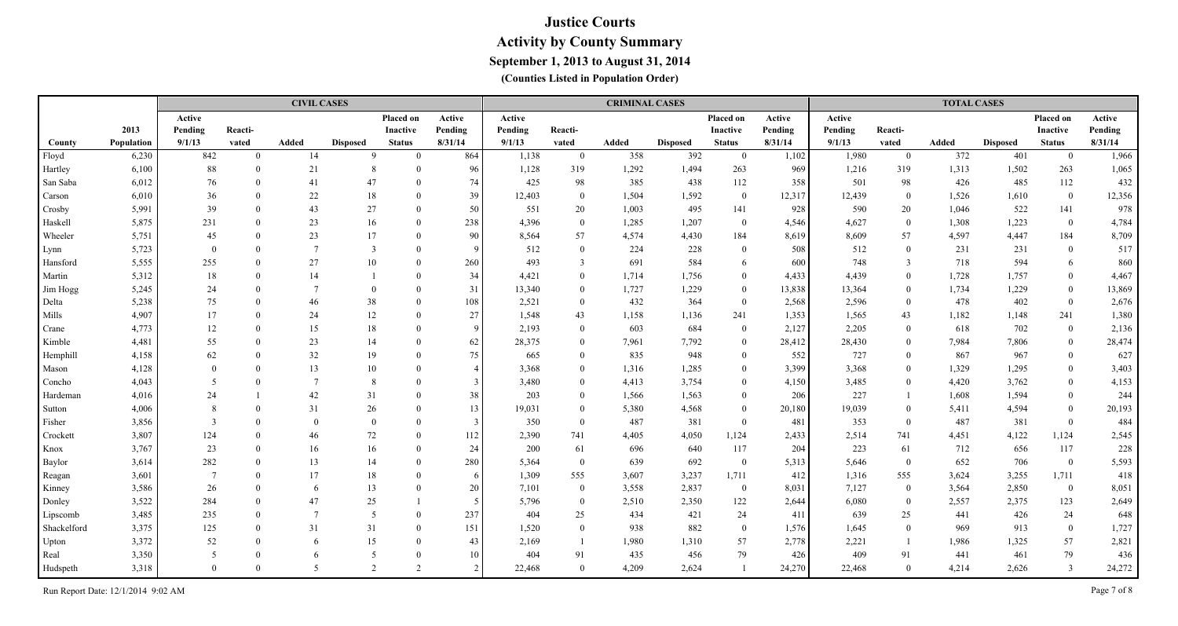|             |            |                          |          | <b>CIVIL CASES</b> |                 |               |                 |         |                | <b>CRIMINAL CASES</b> |                 |                  |         |         |                | <b>TOTAL CASES</b> |                 |                |         |
|-------------|------------|--------------------------|----------|--------------------|-----------------|---------------|-----------------|---------|----------------|-----------------------|-----------------|------------------|---------|---------|----------------|--------------------|-----------------|----------------|---------|
|             |            | Active                   |          |                    |                 | Placed on     | Active          | Active  |                |                       |                 | Placed on        | Active  | Active  |                |                    |                 | Placed on      | Active  |
|             | 2013       | Pending                  | Reacti-  |                    |                 | Inactive      | Pending         | Pending | Reacti-        |                       |                 | Inactive         | Pending | Pending | Reacti-        |                    |                 | Inactive       | Pending |
| County      | Population | 9/1/13                   | vated    | Added              | <b>Disposed</b> | <b>Status</b> | 8/31/14         | 9/1/13  | vated          | Added                 | <b>Disposed</b> | <b>Status</b>    | 8/31/14 | 9/1/13  | vated          | Added              | <b>Disposed</b> | <b>Status</b>  | 8/31/14 |
| Floyd       | 6,230      | 842                      | $\Omega$ | 14                 | $\Omega$        | $\Omega$      | 864             | 1,138   | $\overline{0}$ | 358                   | 392             | $\overline{0}$   | 1,102   | 1,980   | $\overline{0}$ | 372                | 401             | $\bf{0}$       | 1,966   |
| Hartley     | 6,100      | 88                       | $\Omega$ | 21                 | -8              | $\Omega$      | 96              | 1,128   | 319            | 1,292                 | 1,494           | 263              | 969     | 1,216   | 319            | 1,313              | 1,502           | 263            | 1,065   |
| San Saba    | 6,012      | 76                       |          | 41                 | 47              | $\Omega$      | 74              | 425     | 98             | 385                   | 438             | 112              | 358     | 501     | 98             | 426                | 485             | 112            | 432     |
| Carson      | 6,010      | 36                       | $\Omega$ | 22                 | 18              | $\theta$      | 39              | 12,403  | $\mathbf{0}$   | 1,504                 | 1,592           | $\mathbf{0}$     | 12,317  | 12,439  | $\overline{0}$ | 1,526              | 1,610           | $\bf{0}$       | 12,356  |
| Crosby      | 5,991      | 39                       |          | 43                 | 27              | $\Omega$      | 50              | 551     | 20             | 1,003                 | 495             | 141              | 928     | 590     | 20             | 1,046              | 522             | 141            | 978     |
| Haskell     | 5,875      | 231                      | $\Omega$ | 23                 | 16              | $\Omega$      | 238             | 4,396   | $\overline{0}$ | 1,285                 | 1,207           | $\overline{0}$   | 4,546   | 4,627   | $\bf{0}$       | 1,308              | 1,223           | $\overline{0}$ | 4,784   |
| Wheeler     | 5,751      | 45                       | $\Omega$ | 23                 | 17              | $\theta$      | 90              | 8,564   | 57             | 4,574                 | 4,430           | 184              | 8,619   | 8,609   | 57             | 4,597              | 4,447           | 184            | 8,709   |
| Lynn        | 5,723      | $\theta$                 |          |                    | 3               | $\Omega$      | $\vert 9 \vert$ | 512     | $\overline{0}$ | 224                   | 228             | $\overline{0}$   | 508     | 512     | $\mathbf{0}$   | 231                | 231             | $\overline{0}$ | 517     |
| Hansford    | 5,555      | 255                      |          | 27                 | 10              | $\Omega$      | 260             | 493     | $\mathfrak{Z}$ | 691                   | 584             | 6                | 600     | 748     | $\overline{3}$ | 718                | 594             | 6              | 860     |
| Martin      | 5,312      | 18                       |          | 14                 |                 | $\Omega$      | 34              | 4,421   | $\theta$       | 1,714                 | 1,756           | $\overline{0}$   | 4,433   | 4,439   | $\mathbf{0}$   | 1,728              | 1,757           | $\overline{0}$ | 4,467   |
| Jim Hogg    | 5,245      | 24                       |          |                    | $\Omega$        | $\Omega$      | 31              | 13,340  | $\mathbf{0}$   | 1,727                 | 1,229           | $\overline{0}$   | 13,838  | 13,364  | $\overline{0}$ | 1,734              | 1,229           | $\mathbf{0}$   | 13,869  |
| Delta       | 5,238      | 75                       |          | 46                 | 38              | $\Omega$      | 108             | 2,521   | $\overline{0}$ | 432                   | 364             | $\mathbf{0}$     | 2,568   | 2,596   | $\bf{0}$       | 478                | 402             | $\overline{0}$ | 2,676   |
| Mills       | 4,907      | 17                       |          | 24                 | 12              | $\Omega$      | 27              | 1,548   | 43             | 1,158                 | 1,136           | 241              | 1,353   | 1,565   | 43             | 1,182              | 1,148           | 241            | 1,380   |
| Crane       | 4,773      | 12                       |          | 15                 | 18              | $\Omega$      | $\mathbf{Q}$    | 2,193   | $\theta$       | 603                   | 684             | $\overline{0}$   | 2,127   | 2,205   | $\overline{0}$ | 618                | 702             | $\bf{0}$       | 2,136   |
| Kimble      | 4,481      | 55                       |          | 23                 | 14              | $\Omega$      | 62              | 28,375  | $\theta$       | 7,961                 | 7,792           | $\theta$         | 28,412  | 28,430  | $\theta$       | 7,984              | 7,806           | $\bf{0}$       | 28,474  |
| Hemphill    | 4,158      | 62                       |          | 32                 | 19              | $\Omega$      | 75              | 665     | $\theta$       | 835                   | 948             | $\theta$         | 552     | 727     | $\theta$       | 867                | 967             | $\bf{0}$       | 627     |
| Mason       | 4,128      |                          |          | 13                 | 10              | $\theta$      |                 | 3,368   | $\Omega$       | 1,316                 | 1,285           | $\theta$         | 3,399   | 3,368   | $\theta$       | 1,329              | 1,295           | $\overline{0}$ | 3,403   |
| Concho      | 4,043      | $\overline{\phantom{0}}$ |          |                    | 8               | $\Omega$      |                 | 3,480   | $\Omega$       | 4,413                 | 3,754           | $\theta$         | 4,150   | 3,485   | $\Omega$       | 4,420              | 3,762           | $\overline{0}$ | 4,153   |
| Hardeman    | 4,016      | 24                       |          | 42                 | 31              | $\Omega$      | 38              | 203     | $\theta$       | 1,566                 | 1,563           | $\theta$         | 206     | 227     |                | 1,608              | 1,594           | $\mathbf{0}$   | 244     |
| Sutton      | 4,006      | $\mathbf{8}$             |          | 31                 | $26\,$          | $\Omega$      | 13              | 19,031  | $\theta$       | 5,380                 | 4,568           | $\theta$         | 20,180  | 19,039  | $\Omega$       | 5,411              | 4,594           | $\overline{0}$ | 20,193  |
| Fisher      | 3,856      | $\mathcal{R}$            |          | $\Omega$           | $\Omega$        | $\Omega$      | $\overline{3}$  | 350     | $\overline{0}$ | 487                   | 381             | $\mathbf{0}$     | 481     | 353     | $\overline{0}$ | 487                | 381             | $\overline{0}$ | 484     |
| Crockett    | 3,807      | 124                      |          | 46                 | 72              | $\Omega$      | 112             | 2,390   | 741            | 4,405                 | 4,050           | 1,124            | 2,433   | 2,514   | 741            | 4,451              | 4,122           | 1,124          | 2,545   |
| Knox        | 3,767      | 23                       |          | 16                 | 16              | $\Omega$      | 24              | 200     | 61             | 696                   | 640             | 117              | 204     | 223     | 61             | 712                | 656             | 117            | 228     |
| Baylor      | 3,614      | 282                      |          | 13                 | 14              | $\Omega$      | 280             | 5,364   | $\mathbf{0}$   | 639                   | 692             | $\boldsymbol{0}$ | 5,313   | 5,646   | $\overline{0}$ | 652                | 706             | $\overline{0}$ | 5,593   |
| Reagan      | 3,601      | -7                       |          | 17                 | 18              | $\Omega$      | 6               | 1,309   | 555            | 3,607                 | 3,237           | 1,711            | 412     | 1,316   | 555            | 3,624              | 3,255           | 1,711          | 418     |
| Kinney      | 3,586      | 26                       |          | 6                  | 13              | $\Omega$      | 20              | 7,101   | $\mathbf{0}$   | 3,558                 | 2,837           | $\bf{0}$         | 8,031   | 7,127   | $\overline{0}$ | 3,564              | 2,850           | $\bf{0}$       | 8,051   |
| Donley      | 3,522      | 284                      |          | 47                 | 25              |               | -5              | 5,796   | $\mathbf{0}$   | 2,510                 | 2,350           | 122              | 2,644   | 6,080   | $\overline{0}$ | 2,557              | 2,375           | 123            | 2,649   |
| Lipscomb    | 3,485      | 235                      |          | $7\phantom{.0}$    | -5              | $\Omega$      | 237             | 404     | 25             | 434                   | 421             | 24               | 411     | 639     | 25             | 441                | 426             | 24             | 648     |
| Shackelford | 3,375      | 125                      |          | 31                 | 31              | $\Omega$      | 151             | 1,520   | $\mathbf{0}$   | 938                   | 882             | $\mathbf{0}$     | 1,576   | 1,645   | $\Omega$       | 969                | 913             | $\mathbf{0}$   | 1,727   |
| Upton       | 3,372      | 52                       |          | 6                  | 15              | $\Omega$      | 43              | 2,169   | $\overline{1}$ | 1,980                 | 1,310           | 57               | 2,778   | 2,221   | $\overline{1}$ | 1,986              | 1,325           | 57             | 2,821   |
| Real        | 3,350      | 5                        |          | 6                  |                 | $\Omega$      | 10 <sup>1</sup> | 404     | 91             | 435                   | 456             | 79               | 426     | 409     | 91             | 441                | 461             | 79             | 436     |
| Hudspeth    | 3,318      | $\Omega$                 | $\Omega$ | -5                 | 2               | 2             | $\mathcal{D}$   | 22,468  | $\theta$       | 4,209                 | 2,624           | $\overline{1}$   | 24,270  | 22,468  | $\theta$       | 4,214              | 2,626           | $\overline{3}$ | 24,272  |